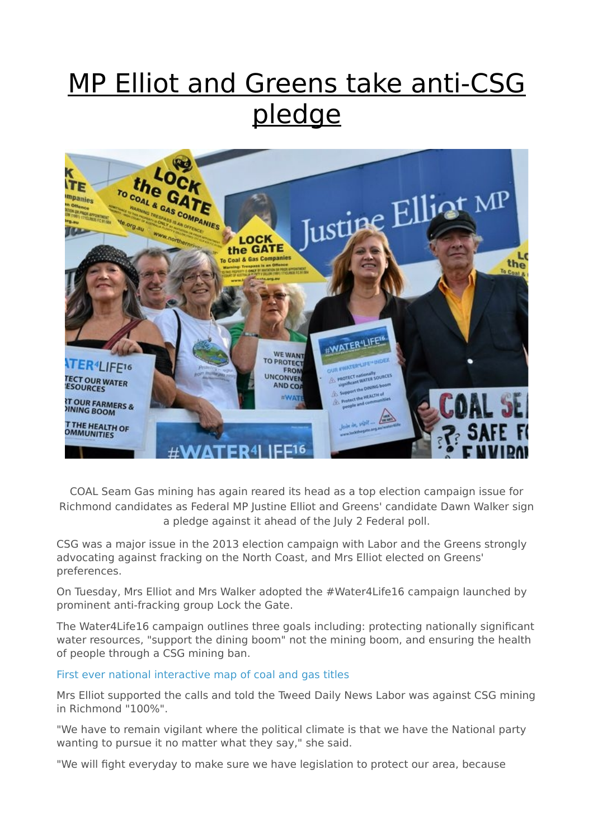## MP Elliot and Greens take anti-CSG pledge



COAL Seam Gas mining has again reared its head as a top election campaign issue for Richmond candidates as Federal MP Justine Elliot and Greens' candidate Dawn Walker sign a pledge against it ahead of the July 2 Federal poll.

CSG was a major issue in the 2013 election campaign with Labor and the Greens strongly advocating against fracking on the North Coast, and Mrs Elliot elected on Greens' preferences.

On Tuesday, Mrs Elliot and Mrs Walker adopted the #Water4Life16 campaign launched by prominent anti-fracking group Lock the Gate.

The Water4Life16 campaign outlines three goals including: protecting nationally significant water resources, "support the dining boom" not the mining boom, and ensuring the health of people through a CSG mining ban.

## [First ever national interactive map of coal and gas titles](http://data.erinsights.com/maps/fossilfuels-au.html)

Mrs Elliot supported the calls and told the Tweed Daily News Labor was against CSG mining in Richmond "100%".

"We have to remain vigilant where the political climate is that we have the National party wanting to pursue it no matter what they say," she said.

"We will fight everyday to make sure we have legislation to protect our area, because